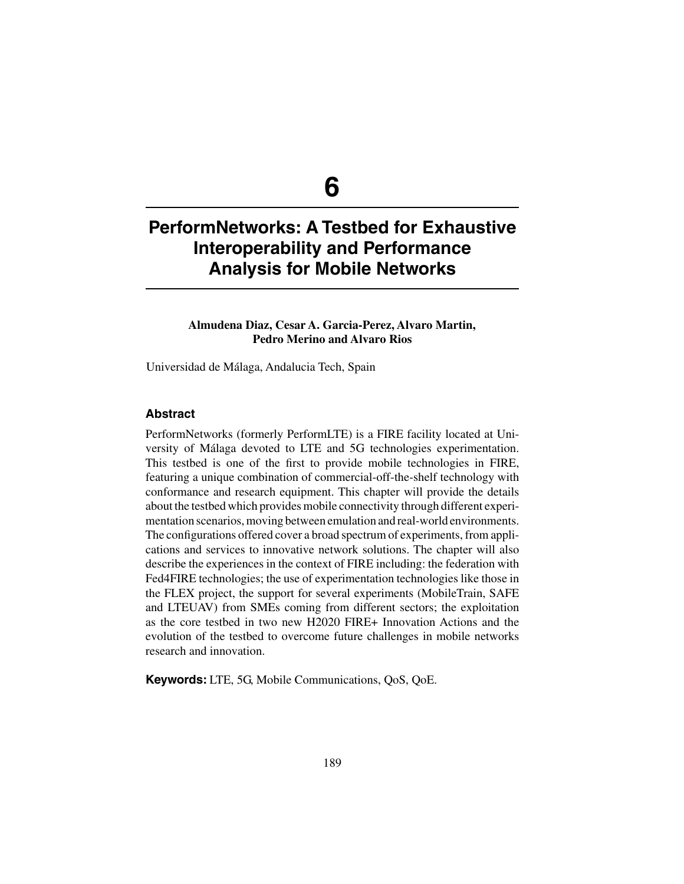# **6**

# **PerformNetworks: A Testbed for Exhaustive Interoperability and Performance Analysis for Mobile Networks**

#### **Almudena Diaz, Cesar A. Garcia-Perez, Alvaro Martin, Pedro Merino and Alvaro Rios**

Universidad de Málaga, Andalucia Tech, Spain

# **Abstract**

PerformNetworks (formerly PerformLTE) is a FIRE facility located at University of Málaga devoted to LTE and 5G technologies experimentation. This testbed is one of the first to provide mobile technologies in FIRE, featuring a unique combination of commercial-off-the-shelf technology with conformance and research equipment. This chapter will provide the details about the testbed which provides mobile connectivity through different experimentation scenarios, moving between emulation and real-world environments. The configurations offered cover a broad spectrum of experiments, from applications and services to innovative network solutions. The chapter will also describe the experiences in the context of FIRE including: the federation with Fed4FIRE technologies; the use of experimentation technologies like those in the FLEX project, the support for several experiments (MobileTrain, SAFE and LTEUAV) from SMEs coming from different sectors; the exploitation as the core testbed in two new H2020 FIRE+ Innovation Actions and the evolution of the testbed to overcome future challenges in mobile networks research and innovation.

**Keywords:** LTE, 5G, Mobile Communications, QoS, QoE.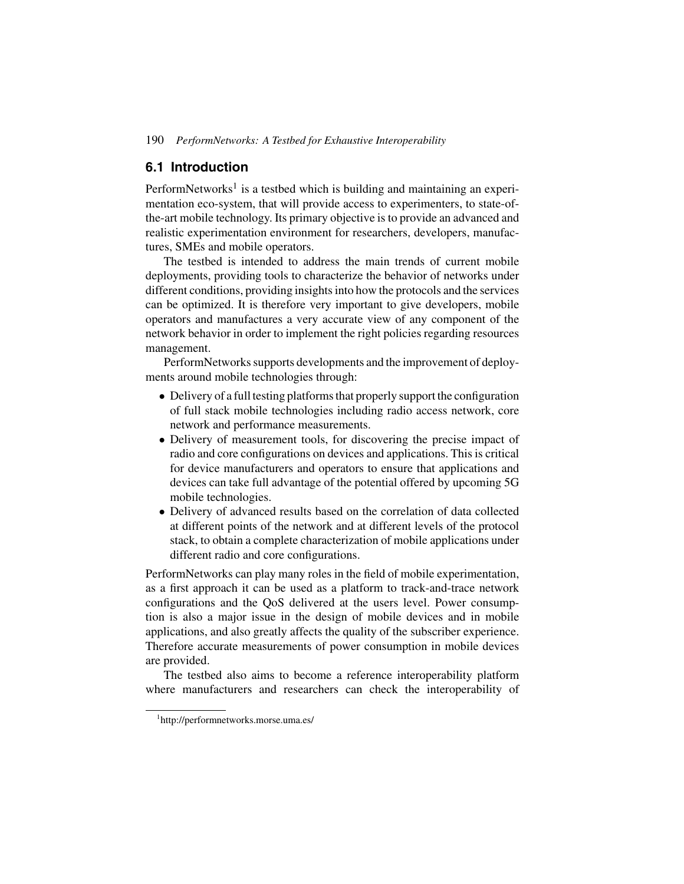# **6.1 Introduction**

 $PerformNetworks<sup>1</sup>$  is a testbed which is building and maintaining an experimentation eco-system, that will provide access to experimenters, to state-ofthe-art mobile technology. Its primary objective is to provide an advanced and realistic experimentation environment for researchers, developers, manufactures, SMEs and mobile operators.

The testbed is intended to address the main trends of current mobile deployments, providing tools to characterize the behavior of networks under different conditions, providing insights into how the protocols and the services can be optimized. It is therefore very important to give developers, mobile operators and manufactures a very accurate view of any component of the network behavior in order to implement the right policies regarding resources management.

PerformNetworks supports developments and the improvement of deployments around mobile technologies through:

- Delivery of a full testing platforms that properly support the configuration of full stack mobile technologies including radio access network, core network and performance measurements.
- Delivery of measurement tools, for discovering the precise impact of radio and core configurations on devices and applications. This is critical for device manufacturers and operators to ensure that applications and devices can take full advantage of the potential offered by upcoming 5G mobile technologies.
- Delivery of advanced results based on the correlation of data collected at different points of the network and at different levels of the protocol stack, to obtain a complete characterization of mobile applications under different radio and core configurations.

PerformNetworks can play many roles in the field of mobile experimentation, as a first approach it can be used as a platform to track-and-trace network configurations and the QoS delivered at the users level. Power consumption is also a major issue in the design of mobile devices and in mobile applications, and also greatly affects the quality of the subscriber experience. Therefore accurate measurements of power consumption in mobile devices are provided.

The testbed also aims to become a reference interoperability platform where manufacturers and researchers can check the interoperability of

<sup>1</sup> http://performnetworks.morse.uma.es/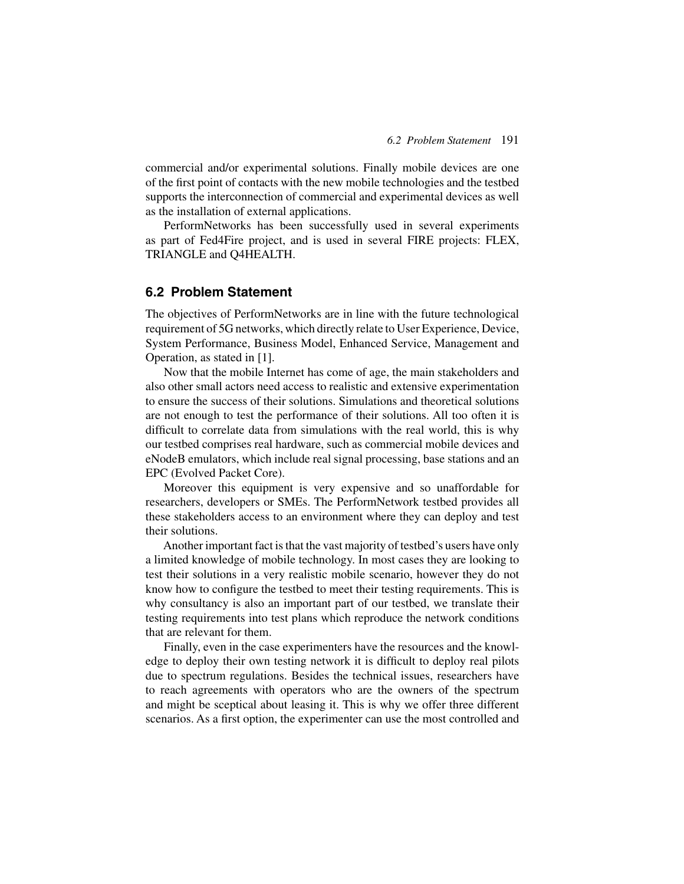commercial and/or experimental solutions. Finally mobile devices are one of the first point of contacts with the new mobile technologies and the testbed supports the interconnection of commercial and experimental devices as well as the installation of external applications.

PerformNetworks has been successfully used in several experiments as part of Fed4Fire project, and is used in several FIRE projects: FLEX, TRIANGLE and Q4HEALTH.

# **6.2 Problem Statement**

The objectives of PerformNetworks are in line with the future technological requirement of 5G networks, which directly relate to User Experience, Device, System Performance, Business Model, Enhanced Service, Management and Operation, as stated in [1].

Now that the mobile Internet has come of age, the main stakeholders and also other small actors need access to realistic and extensive experimentation to ensure the success of their solutions. Simulations and theoretical solutions are not enough to test the performance of their solutions. All too often it is difficult to correlate data from simulations with the real world, this is why our testbed comprises real hardware, such as commercial mobile devices and eNodeB emulators, which include real signal processing, base stations and an EPC (Evolved Packet Core).

Moreover this equipment is very expensive and so unaffordable for researchers, developers or SMEs. The PerformNetwork testbed provides all these stakeholders access to an environment where they can deploy and test their solutions.

Another important fact is that the vast majority of testbed's users have only a limited knowledge of mobile technology. In most cases they are looking to test their solutions in a very realistic mobile scenario, however they do not know how to configure the testbed to meet their testing requirements. This is why consultancy is also an important part of our testbed, we translate their testing requirements into test plans which reproduce the network conditions that are relevant for them.

Finally, even in the case experimenters have the resources and the knowledge to deploy their own testing network it is difficult to deploy real pilots due to spectrum regulations. Besides the technical issues, researchers have to reach agreements with operators who are the owners of the spectrum and might be sceptical about leasing it. This is why we offer three different scenarios. As a first option, the experimenter can use the most controlled and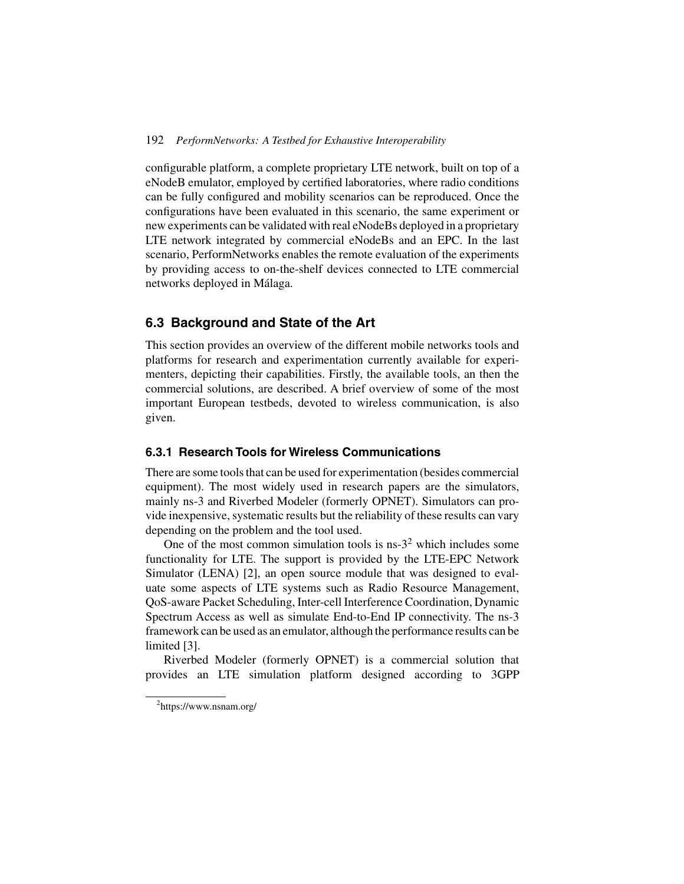configurable platform, a complete proprietary LTE network, built on top of a eNodeB emulator, employed by certified laboratories, where radio conditions can be fully configured and mobility scenarios can be reproduced. Once the configurations have been evaluated in this scenario, the same experiment or new experiments can be validated with real eNodeBs deployed in a proprietary LTE network integrated by commercial eNodeBs and an EPC. In the last scenario, PerformNetworks enables the remote evaluation of the experiments by providing access to on-the-shelf devices connected to LTE commercial networks deployed in Málaga.

# **6.3 Background and State of the Art**

This section provides an overview of the different mobile networks tools and platforms for research and experimentation currently available for experimenters, depicting their capabilities. Firstly, the available tools, an then the commercial solutions, are described. A brief overview of some of the most important European testbeds, devoted to wireless communication, is also given.

#### **6.3.1 Research Tools for Wireless Communications**

There are some tools that can be used for experimentation (besides commercial equipment). The most widely used in research papers are the simulators, mainly ns-3 and Riverbed Modeler (formerly OPNET). Simulators can provide inexpensive, systematic results but the reliability of these results can vary depending on the problem and the tool used.

One of the most common simulation tools is ns- $3<sup>2</sup>$  which includes some functionality for LTE. The support is provided by the LTE-EPC Network Simulator (LENA) [2], an open source module that was designed to evaluate some aspects of LTE systems such as Radio Resource Management, QoS-aware Packet Scheduling, Inter-cell Interference Coordination, Dynamic Spectrum Access as well as simulate End-to-End IP connectivity. The ns-3 framework can be used as an emulator, although the performance results can be limited [3].

Riverbed Modeler (formerly OPNET) is a commercial solution that provides an LTE simulation platform designed according to 3GPP

<sup>&</sup>lt;sup>2</sup>https://www.nsnam.org/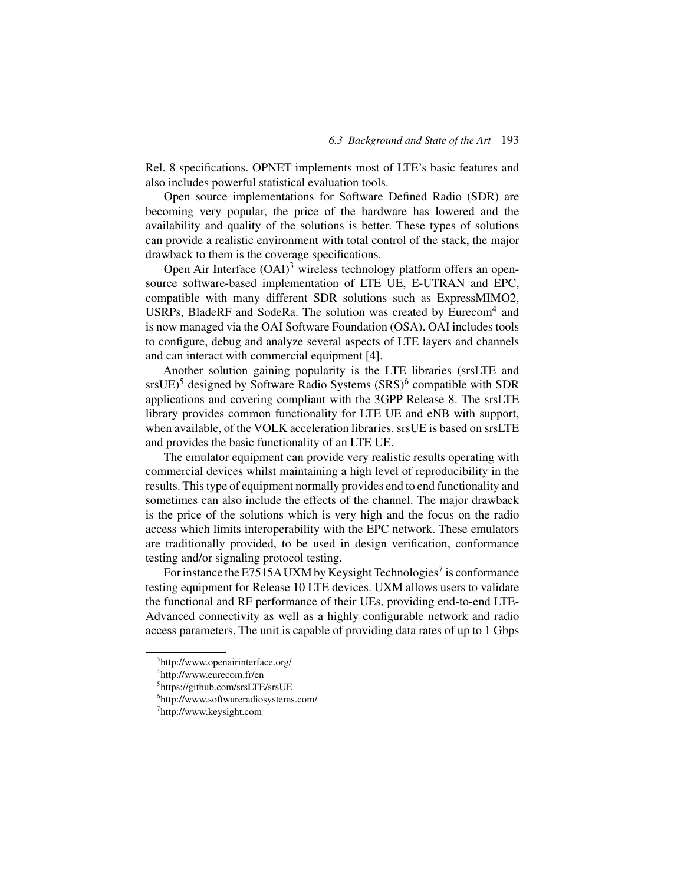Rel. 8 specifications. OPNET implements most of LTE's basic features and also includes powerful statistical evaluation tools.

Open source implementations for Software Defined Radio (SDR) are becoming very popular, the price of the hardware has lowered and the availability and quality of the solutions is better. These types of solutions can provide a realistic environment with total control of the stack, the major drawback to them is the coverage specifications.

Open Air Interface  $(OAI)^3$  wireless technology platform offers an opensource software-based implementation of LTE UE, E-UTRAN and EPC, compatible with many different SDR solutions such as ExpressMIMO2, USRPs, BladeRF and SodeRa. The solution was created by Eurecom<sup>4</sup> and is now managed via the OAI Software Foundation (OSA). OAI includes tools to configure, debug and analyze several aspects of LTE layers and channels and can interact with commercial equipment [4].

Another solution gaining popularity is the LTE libraries (srsLTE and srsUE)<sup>5</sup> designed by Software Radio Systems  $(SRS)^6$  compatible with SDR applications and covering compliant with the 3GPP Release 8. The srsLTE library provides common functionality for LTE UE and eNB with support, when available, of the VOLK acceleration libraries. srsUE is based on srsLTE and provides the basic functionality of an LTE UE.

The emulator equipment can provide very realistic results operating with commercial devices whilst maintaining a high level of reproducibility in the results. This type of equipment normally provides end to end functionality and sometimes can also include the effects of the channel. The major drawback is the price of the solutions which is very high and the focus on the radio access which limits interoperability with the EPC network. These emulators are traditionally provided, to be used in design verification, conformance testing and/or signaling protocol testing.

For instance the E7515A UXM by Keysight Technologies<sup>7</sup> is conformance testing equipment for Release 10 LTE devices. UXM allows users to validate the functional and RF performance of their UEs, providing end-to-end LTE-Advanced connectivity as well as a highly configurable network and radio access parameters. The unit is capable of providing data rates of up to 1 Gbps

<sup>3</sup> http://www.openairinterface.org/

<sup>4</sup> http://www.eurecom.fr/en

<sup>5</sup> https://github.com/srsLTE/srsUE

<sup>6</sup> http://www.softwareradiosystems.com/

<sup>7</sup> http://www.keysight.com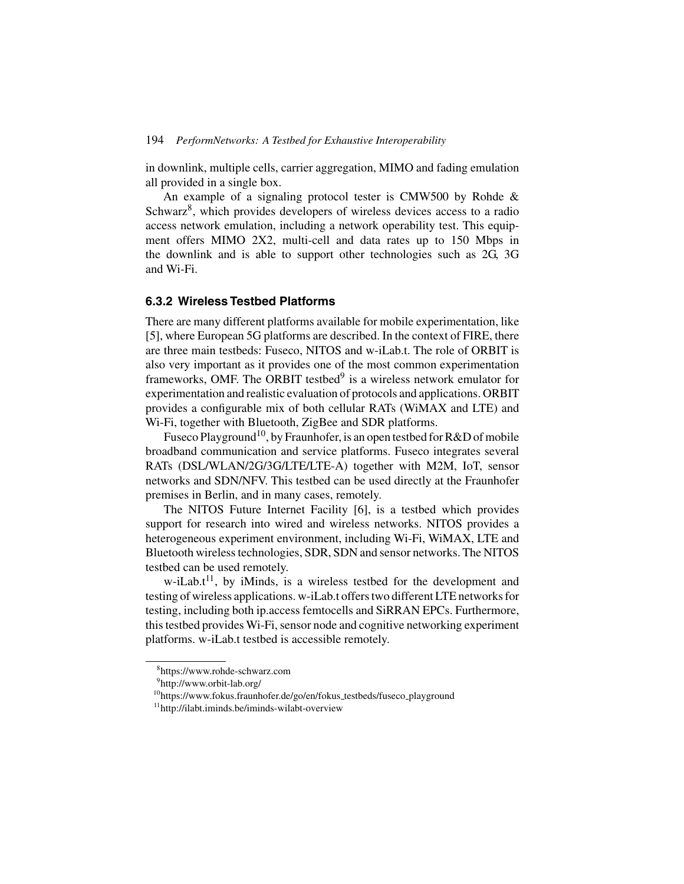in downlink, multiple cells, carrier aggregation, MIMO and fading emulation all provided in a single box.

An example of a signaling protocol tester is CMW500 by Rohde & Schwarz<sup>8</sup>, which provides developers of wireless devices access to a radio access network emulation, including a network operability test. This equipment offers MIMO 2X2, multi-cell and data rates up to 150 Mbps in the downlink and is able to support other technologies such as 2G, 3G and Wi-Fi.

#### **6.3.2 Wireless Testbed Platforms**

There are many different platforms available for mobile experimentation, like [5], where European 5G platforms are described. In the context of FIRE, there are three main testbeds: Fuseco, NITOS and w-iLab.t. The role of ORBIT is also very important as it provides one of the most common experimentation frameworks, OMF. The ORBIT testbed $9$  is a wireless network emulator for experimentation and realistic evaluation of protocols and applications. ORBIT provides a configurable mix of both cellular RATs (WiMAX and LTE) and Wi-Fi, together with Bluetooth, ZigBee and SDR platforms.

Fuseco Playground<sup>10</sup>, by Fraunhofer, is an open testbed for  $R&D$  of mobile broadband communication and service platforms. Fuseco integrates several RATs (DSL/WLAN/2G/3G/LTE/LTE-A) together with M2M, IoT, sensor networks and SDN/NFV. This testbed can be used directly at the Fraunhofer premises in Berlin, and in many cases, remotely.

The NITOS Future Internet Facility [6], is a testbed which provides support for research into wired and wireless networks. NITOS provides a heterogeneous experiment environment, including Wi-Fi, WiMAX, LTE and Bluetooth wireless technologies, SDR, SDN and sensor networks. The NITOS testbed can be used remotely.

 $w$ -iLab.t<sup>11</sup>, by iMinds, is a wireless testbed for the development and testing of wireless applications. w-iLab.t offers two different LTE networks for testing, including both ip.access femtocells and SiRRAN EPCs. Furthermore, this testbed provides Wi-Fi, sensor node and cognitive networking experiment platforms. w-iLab.t testbed is accessible remotely.

<sup>8</sup> https://www.rohde-schwarz.com

<sup>&</sup>lt;sup>9</sup>http://www.orbit-lab.org/

<sup>10</sup>https://www.fokus.fraunhofer.de/go/en/fokus testbeds/fuseco playground

<sup>&</sup>lt;sup>11</sup>http://ilabt.iminds.be/iminds-wilabt-overview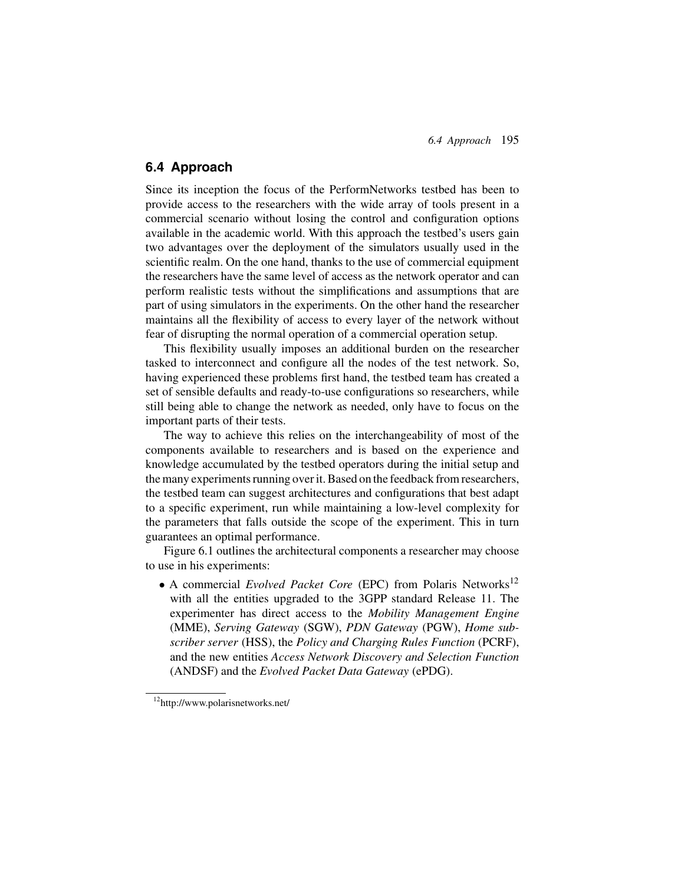# **6.4 Approach**

Since its inception the focus of the PerformNetworks testbed has been to provide access to the researchers with the wide array of tools present in a commercial scenario without losing the control and configuration options available in the academic world. With this approach the testbed's users gain two advantages over the deployment of the simulators usually used in the scientific realm. On the one hand, thanks to the use of commercial equipment the researchers have the same level of access as the network operator and can perform realistic tests without the simplifications and assumptions that are part of using simulators in the experiments. On the other hand the researcher maintains all the flexibility of access to every layer of the network without fear of disrupting the normal operation of a commercial operation setup.

This flexibility usually imposes an additional burden on the researcher tasked to interconnect and configure all the nodes of the test network. So, having experienced these problems first hand, the testbed team has created a set of sensible defaults and ready-to-use configurations so researchers, while still being able to change the network as needed, only have to focus on the important parts of their tests.

The way to achieve this relies on the interchangeability of most of the components available to researchers and is based on the experience and knowledge accumulated by the testbed operators during the initial setup and the many experiments running over it. Based on the feedback from researchers, the testbed team can suggest architectures and configurations that best adapt to a specific experiment, run while maintaining a low-level complexity for the parameters that falls outside the scope of the experiment. This in turn guarantees an optimal performance.

Figure 6.1 outlines the architectural components a researcher may choose to use in his experiments:

• A commercial *Evolved Packet Core* (EPC) from Polaris Networks<sup>12</sup> with all the entities upgraded to the 3GPP standard Release 11. The experimenter has direct access to the *Mobility Management Engine* (MME), *Serving Gateway* (SGW), *PDN Gateway* (PGW), *Home subscriber server* (HSS), the *Policy and Charging Rules Function* (PCRF), and the new entities *Access Network Discovery and Selection Function* (ANDSF) and the *Evolved Packet Data Gateway* (ePDG).

<sup>12</sup>http://www.polarisnetworks.net/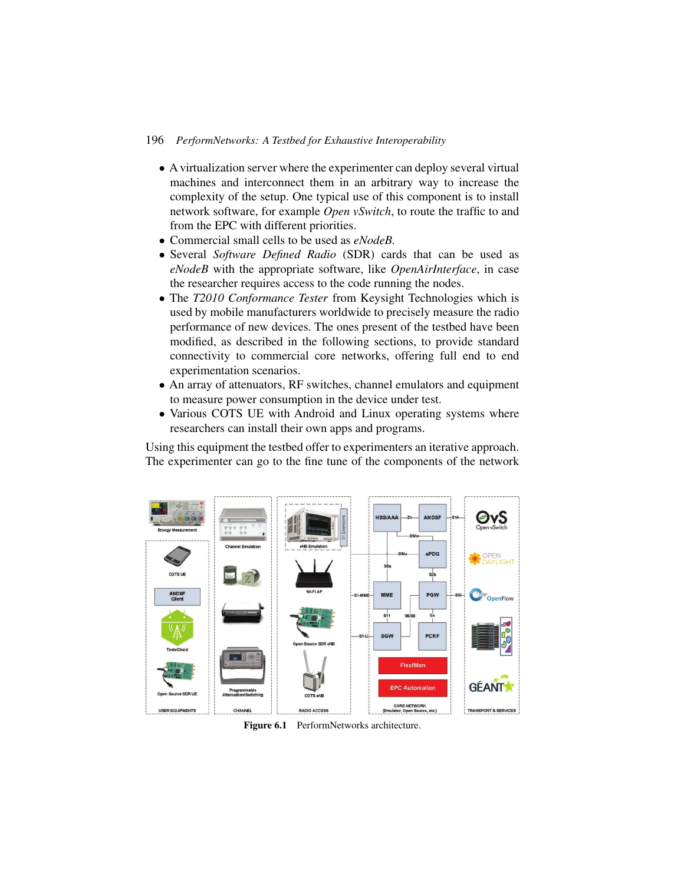- A virtualization server where the experimenter can deploy several virtual machines and interconnect them in an arbitrary way to increase the complexity of the setup. One typical use of this component is to install network software, for example *Open vSwitch*, to route the traffic to and from the EPC with different priorities.
- Commercial small cells to be used as *eNodeB.*
- Several *Software Defined Radio* (SDR) cards that can be used as *eNodeB* with the appropriate software, like *OpenAirInterface*, in case the researcher requires access to the code running the nodes.
- The *T2010 Conformance Tester* from Keysight Technologies which is used by mobile manufacturers worldwide to precisely measure the radio performance of new devices. The ones present of the testbed have been modified, as described in the following sections, to provide standard connectivity to commercial core networks, offering full end to end experimentation scenarios.
- An array of attenuators, RF switches, channel emulators and equipment to measure power consumption in the device under test.
- Various COTS UE with Android and Linux operating systems where researchers can install their own apps and programs.

Using this equipment the testbed offer to experimenters an iterative approach. The experimenter can go to the fine tune of the components of the network



Figure 6.1 PerformNetworks architecture.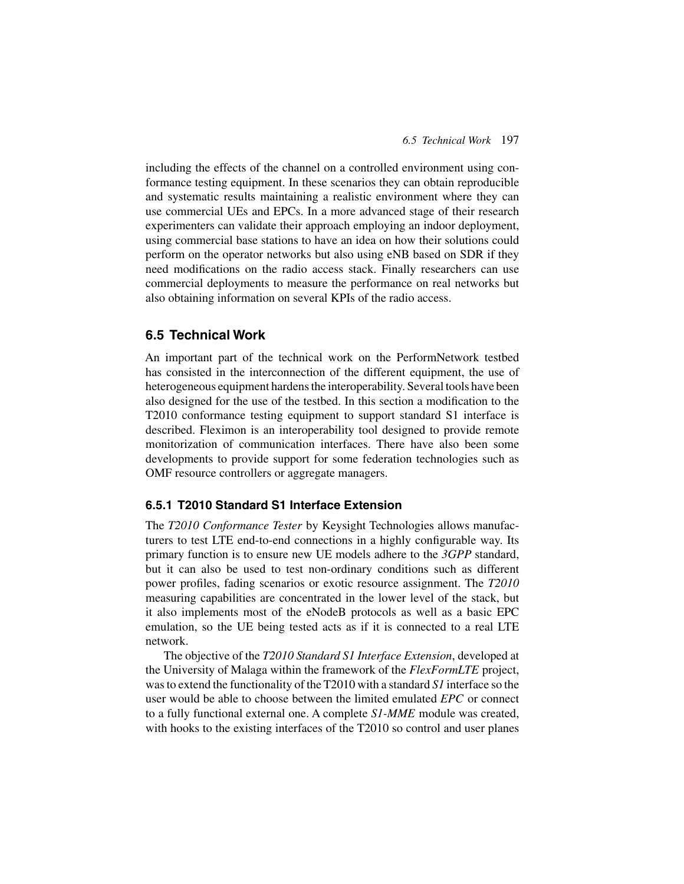including the effects of the channel on a controlled environment using conformance testing equipment. In these scenarios they can obtain reproducible and systematic results maintaining a realistic environment where they can use commercial UEs and EPCs. In a more advanced stage of their research experimenters can validate their approach employing an indoor deployment, using commercial base stations to have an idea on how their solutions could perform on the operator networks but also using eNB based on SDR if they need modifications on the radio access stack. Finally researchers can use commercial deployments to measure the performance on real networks but also obtaining information on several KPIs of the radio access.

#### **6.5 Technical Work**

An important part of the technical work on the PerformNetwork testbed has consisted in the interconnection of the different equipment, the use of heterogeneous equipment hardens the interoperability. Several tools have been also designed for the use of the testbed. In this section a modification to the T2010 conformance testing equipment to support standard S1 interface is described. Fleximon is an interoperability tool designed to provide remote monitorization of communication interfaces. There have also been some developments to provide support for some federation technologies such as OMF resource controllers or aggregate managers.

# **6.5.1 T2010 Standard S1 Interface Extension**

The *T2010 Conformance Tester* by Keysight Technologies allows manufacturers to test LTE end-to-end connections in a highly configurable way. Its primary function is to ensure new UE models adhere to the *3GPP* standard, but it can also be used to test non-ordinary conditions such as different power profiles, fading scenarios or exotic resource assignment. The *T2010* measuring capabilities are concentrated in the lower level of the stack, but it also implements most of the eNodeB protocols as well as a basic EPC emulation, so the UE being tested acts as if it is connected to a real LTE network.

The objective of the *T2010 Standard S1 Interface Extension*, developed at the University of Malaga within the framework of the *FlexFormLTE* project, was to extend the functionality of the T2010 with a standard *S1* interface so the user would be able to choose between the limited emulated *EPC* or connect to a fully functional external one. A complete *S1-MME* module was created, with hooks to the existing interfaces of the T2010 so control and user planes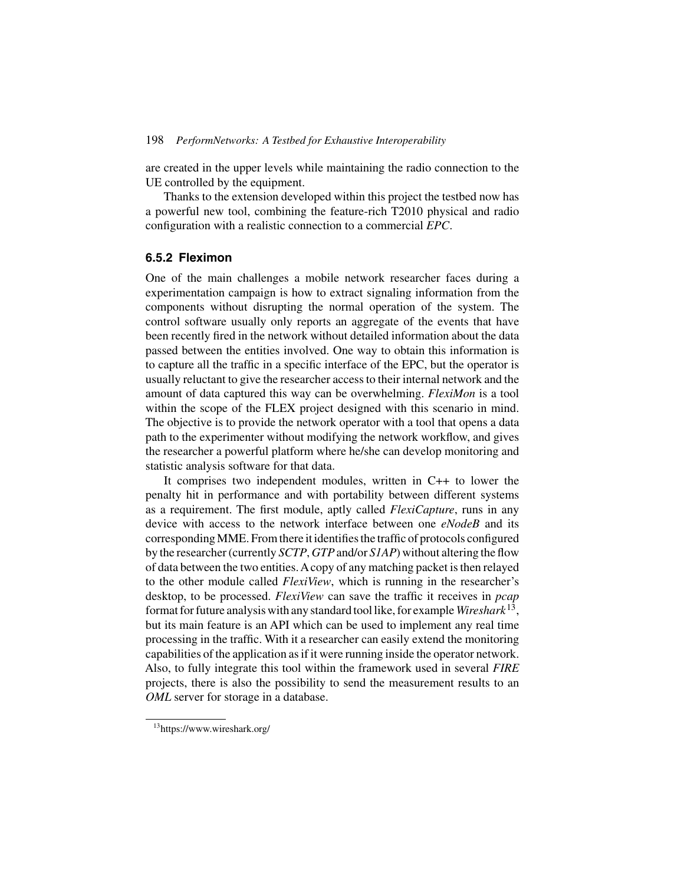are created in the upper levels while maintaining the radio connection to the UE controlled by the equipment.

Thanks to the extension developed within this project the testbed now has a powerful new tool, combining the feature-rich T2010 physical and radio configuration with a realistic connection to a commercial *EPC*.

#### **6.5.2 Fleximon**

One of the main challenges a mobile network researcher faces during a experimentation campaign is how to extract signaling information from the components without disrupting the normal operation of the system. The control software usually only reports an aggregate of the events that have been recently fired in the network without detailed information about the data passed between the entities involved. One way to obtain this information is to capture all the traffic in a specific interface of the EPC, but the operator is usually reluctant to give the researcher access to their internal network and the amount of data captured this way can be overwhelming. *FlexiMon* is a tool within the scope of the FLEX project designed with this scenario in mind. The objective is to provide the network operator with a tool that opens a data path to the experimenter without modifying the network workflow, and gives the researcher a powerful platform where he/she can develop monitoring and statistic analysis software for that data.

It comprises two independent modules, written in C++ to lower the penalty hit in performance and with portability between different systems as a requirement. The first module, aptly called *FlexiCapture*, runs in any device with access to the network interface between one *eNodeB* and its corresponding MME. From there it identifies the traffic of protocols configured by the researcher (currently *SCTP*, *GTP*and/or *S1AP*) without altering the flow of data between the two entities.Acopy of any matching packet is then relayed to the other module called *FlexiView*, which is running in the researcher's desktop, to be processed. *FlexiView* can save the traffic it receives in *pcap* format for future analysis with any standard tool like, for example *Wireshark*13, but its main feature is an API which can be used to implement any real time processing in the traffic. With it a researcher can easily extend the monitoring capabilities of the application as if it were running inside the operator network. Also, to fully integrate this tool within the framework used in several *FIRE* projects, there is also the possibility to send the measurement results to an *OML* server for storage in a database.

<sup>13</sup>https://www.wireshark.org/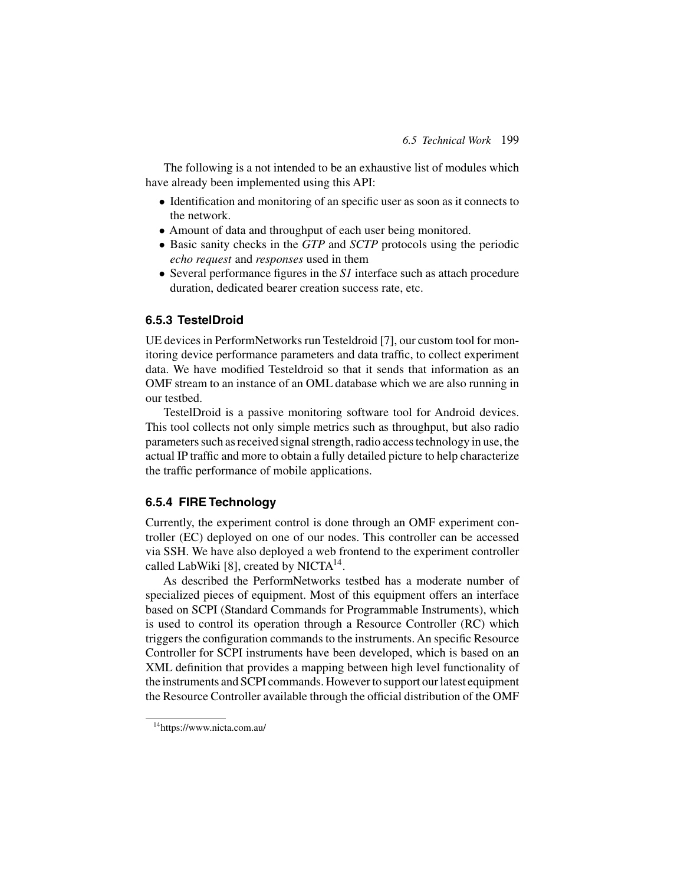The following is a not intended to be an exhaustive list of modules which have already been implemented using this API:

- Identification and monitoring of an specific user as soon as it connects to the network.
- Amount of data and throughput of each user being monitored.
- Basic sanity checks in the *GTP* and *SCTP* protocols using the periodic *echo request* and *responses* used in them
- Several performance figures in the *S1* interface such as attach procedure duration, dedicated bearer creation success rate, etc.

#### **6.5.3 TestelDroid**

UE devices in PerformNetworks run Testeldroid [7], our custom tool for monitoring device performance parameters and data traffic, to collect experiment data. We have modified Testeldroid so that it sends that information as an OMF stream to an instance of an OML database which we are also running in our testbed.

TestelDroid is a passive monitoring software tool for Android devices. This tool collects not only simple metrics such as throughput, but also radio parameters such as received signal strength, radio access technology in use, the actual IP traffic and more to obtain a fully detailed picture to help characterize the traffic performance of mobile applications.

#### **6.5.4 FIRE Technology**

Currently, the experiment control is done through an OMF experiment controller (EC) deployed on one of our nodes. This controller can be accessed via SSH. We have also deployed a web frontend to the experiment controller called LabWiki [8], created by NICT $A^{14}$ .

As described the PerformNetworks testbed has a moderate number of specialized pieces of equipment. Most of this equipment offers an interface based on SCPI (Standard Commands for Programmable Instruments), which is used to control its operation through a Resource Controller (RC) which triggers the configuration commands to the instruments. An specific Resource Controller for SCPI instruments have been developed, which is based on an XML definition that provides a mapping between high level functionality of the instruments and SCPI commands. However to support our latest equipment the Resource Controller available through the official distribution of the OMF

<sup>14</sup>https://www.nicta.com.au/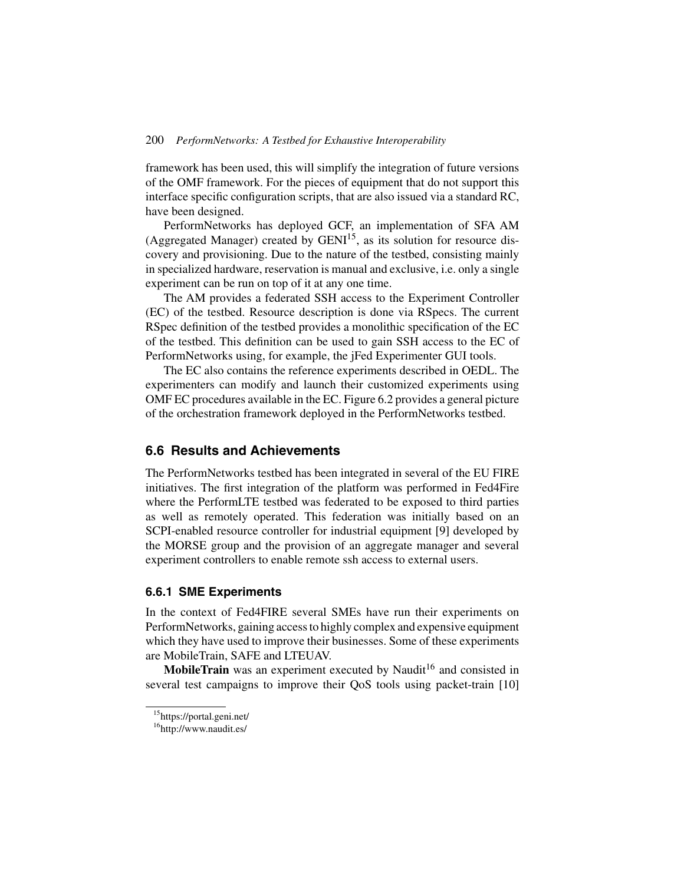framework has been used, this will simplify the integration of future versions of the OMF framework. For the pieces of equipment that do not support this interface specific configuration scripts, that are also issued via a standard RC, have been designed.

PerformNetworks has deployed GCF, an implementation of SFA AM (Aggregated Manager) created by  $GENI<sup>15</sup>$ , as its solution for resource discovery and provisioning. Due to the nature of the testbed, consisting mainly in specialized hardware, reservation is manual and exclusive, i.e. only a single experiment can be run on top of it at any one time.

The AM provides a federated SSH access to the Experiment Controller (EC) of the testbed. Resource description is done via RSpecs. The current RSpec definition of the testbed provides a monolithic specification of the EC of the testbed. This definition can be used to gain SSH access to the EC of PerformNetworks using, for example, the jFed Experimenter GUI tools.

The EC also contains the reference experiments described in OEDL. The experimenters can modify and launch their customized experiments using OMF EC procedures available in the EC. Figure 6.2 provides a general picture of the orchestration framework deployed in the PerformNetworks testbed.

#### **6.6 Results and Achievements**

The PerformNetworks testbed has been integrated in several of the EU FIRE initiatives. The first integration of the platform was performed in Fed4Fire where the PerformLTE testbed was federated to be exposed to third parties as well as remotely operated. This federation was initially based on an SCPI-enabled resource controller for industrial equipment [9] developed by the MORSE group and the provision of an aggregate manager and several experiment controllers to enable remote ssh access to external users.

#### **6.6.1 SME Experiments**

In the context of Fed4FIRE several SMEs have run their experiments on PerformNetworks, gaining access to highly complex and expensive equipment which they have used to improve their businesses. Some of these experiments are MobileTrain, SAFE and LTEUAV.

**MobileTrain** was an experiment executed by Naudit<sup>16</sup> and consisted in several test campaigns to improve their QoS tools using packet-train [10]

<sup>15</sup>https://portal.geni.net/

<sup>16</sup>http://www.naudit.es/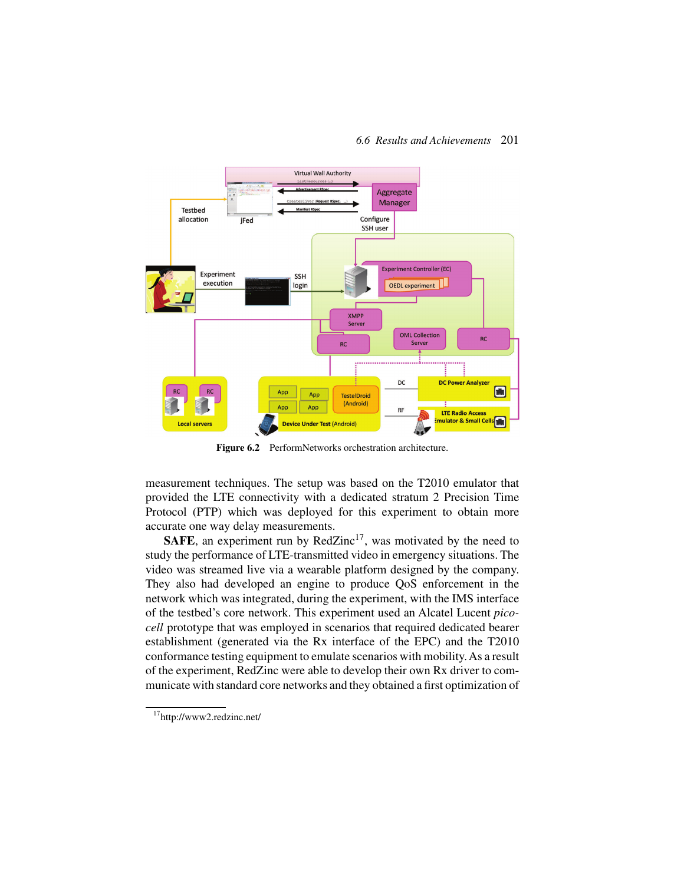#### *6.6 Results and Achievements* 201



Figure 6.2 PerformNetworks orchestration architecture.

measurement techniques. The setup was based on the T2010 emulator that provided the LTE connectivity with a dedicated stratum 2 Precision Time Protocol (PTP) which was deployed for this experiment to obtain more accurate one way delay measurements.

**SAFE**, an experiment run by  $\text{RedZinc}^{17}$ , was motivated by the need to study the performance of LTE-transmitted video in emergency situations. The video was streamed live via a wearable platform designed by the company. They also had developed an engine to produce QoS enforcement in the network which was integrated, during the experiment, with the IMS interface of the testbed's core network. This experiment used an Alcatel Lucent *picocell* prototype that was employed in scenarios that required dedicated bearer establishment (generated via the Rx interface of the EPC) and the T2010 conformance testing equipment to emulate scenarios with mobility. As a result of the experiment, RedZinc were able to develop their own Rx driver to communicate with standard core networks and they obtained a first optimization of

<sup>17</sup>http://www2.redzinc.net/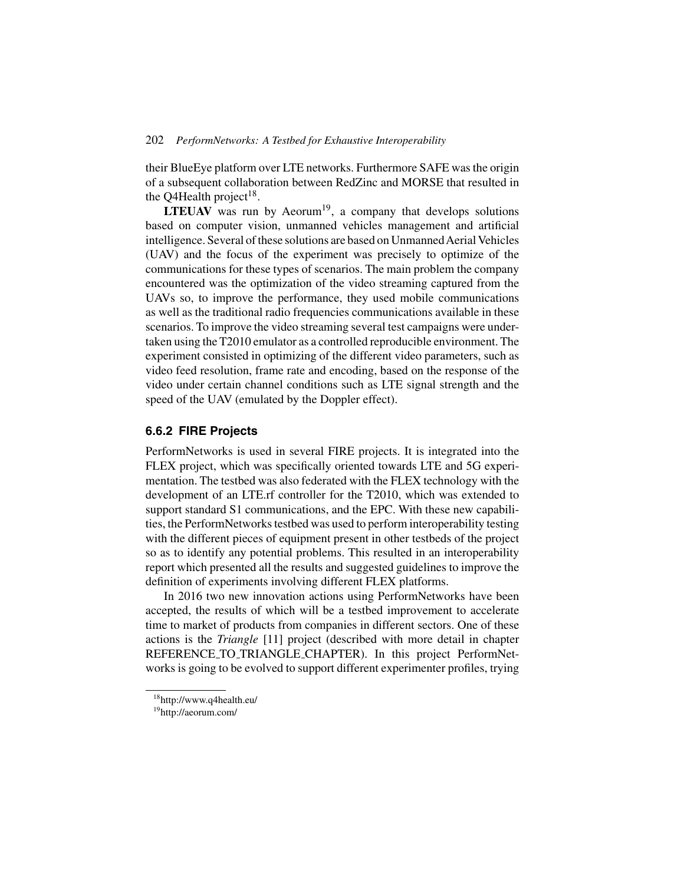their BlueEye platform over LTE networks. Furthermore SAFE was the origin of a subsequent collaboration between RedZinc and MORSE that resulted in the Q4Health project<sup>18</sup>.

**LTEUAV** was run by Aeorum<sup>19</sup>, a company that develops solutions based on computer vision, unmanned vehicles management and artificial intelligence. Several of these solutions are based on Unmanned Aerial Vehicles (UAV) and the focus of the experiment was precisely to optimize of the communications for these types of scenarios. The main problem the company encountered was the optimization of the video streaming captured from the UAVs so, to improve the performance, they used mobile communications as well as the traditional radio frequencies communications available in these scenarios. To improve the video streaming several test campaigns were undertaken using the T2010 emulator as a controlled reproducible environment. The experiment consisted in optimizing of the different video parameters, such as video feed resolution, frame rate and encoding, based on the response of the video under certain channel conditions such as LTE signal strength and the speed of the UAV (emulated by the Doppler effect).

#### **6.6.2 FIRE Projects**

PerformNetworks is used in several FIRE projects. It is integrated into the FLEX project, which was specifically oriented towards LTE and 5G experimentation. The testbed was also federated with the FLEX technology with the development of an LTE.rf controller for the T2010, which was extended to support standard S1 communications, and the EPC. With these new capabilities, the PerformNetworks testbed was used to perform interoperability testing with the different pieces of equipment present in other testbeds of the project so as to identify any potential problems. This resulted in an interoperability report which presented all the results and suggested guidelines to improve the definition of experiments involving different FLEX platforms.

In 2016 two new innovation actions using PerformNetworks have been accepted, the results of which will be a testbed improvement to accelerate time to market of products from companies in different sectors. One of these actions is the *Triangle* [11] project (described with more detail in chapter REFERENCE TO TRIANGLE CHAPTER). In this project PerformNetworks is going to be evolved to support different experimenter profiles, trying

<sup>18</sup>http://www.q4health.eu/

<sup>19</sup>http://aeorum.com/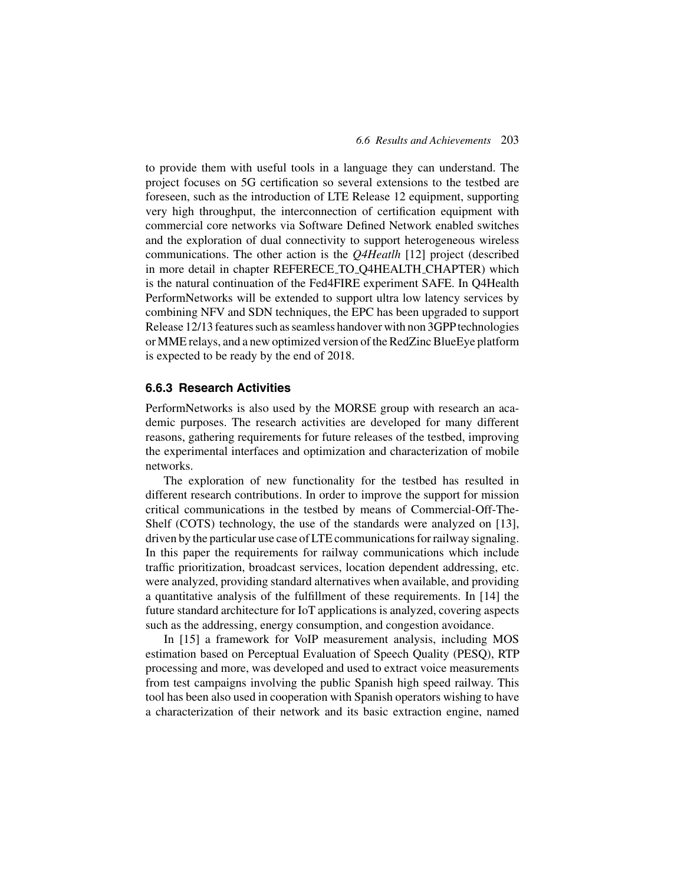to provide them with useful tools in a language they can understand. The project focuses on 5G certification so several extensions to the testbed are foreseen, such as the introduction of LTE Release 12 equipment, supporting very high throughput, the interconnection of certification equipment with commercial core networks via Software Defined Network enabled switches and the exploration of dual connectivity to support heterogeneous wireless communications. The other action is the *Q4Heatlh* [12] project (described in more detail in chapter REFERECE TO Q4HEALTH CHAPTER) which is the natural continuation of the Fed4FIRE experiment SAFE. In Q4Health PerformNetworks will be extended to support ultra low latency services by combining NFV and SDN techniques, the EPC has been upgraded to support Release 12/13 features such as seamless handover with non 3GPP technologies or MME relays, and a new optimized version of the RedZinc BlueEye platform is expected to be ready by the end of 2018.

#### **6.6.3 Research Activities**

PerformNetworks is also used by the MORSE group with research an academic purposes. The research activities are developed for many different reasons, gathering requirements for future releases of the testbed, improving the experimental interfaces and optimization and characterization of mobile networks.

The exploration of new functionality for the testbed has resulted in different research contributions. In order to improve the support for mission critical communications in the testbed by means of Commercial-Off-The-Shelf (COTS) technology, the use of the standards were analyzed on [13], driven by the particular use case of LTE communications for railway signaling. In this paper the requirements for railway communications which include traffic prioritization, broadcast services, location dependent addressing, etc. were analyzed, providing standard alternatives when available, and providing a quantitative analysis of the fulfillment of these requirements. In [14] the future standard architecture for IoT applications is analyzed, covering aspects such as the addressing, energy consumption, and congestion avoidance.

In [15] a framework for VoIP measurement analysis, including MOS estimation based on Perceptual Evaluation of Speech Quality (PESQ), RTP processing and more, was developed and used to extract voice measurements from test campaigns involving the public Spanish high speed railway. This tool has been also used in cooperation with Spanish operators wishing to have a characterization of their network and its basic extraction engine, named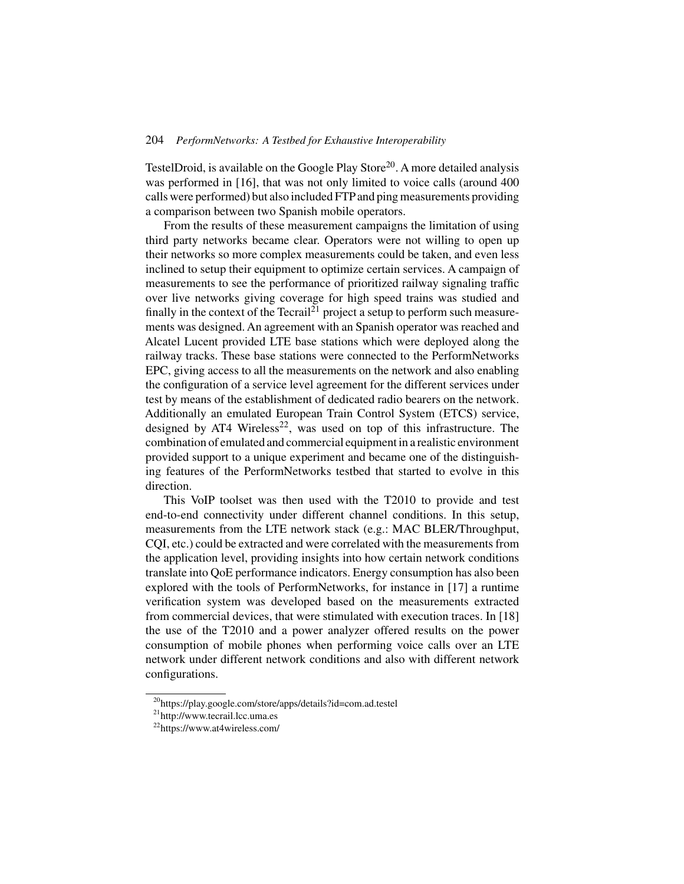TestelDroid, is available on the Google Play Store<sup>20</sup>. A more detailed analysis was performed in [16], that was not only limited to voice calls (around 400 calls were performed) but also included FTPand ping measurements providing a comparison between two Spanish mobile operators.

From the results of these measurement campaigns the limitation of using third party networks became clear. Operators were not willing to open up their networks so more complex measurements could be taken, and even less inclined to setup their equipment to optimize certain services. A campaign of measurements to see the performance of prioritized railway signaling traffic over live networks giving coverage for high speed trains was studied and finally in the context of the Tecrail<sup>21</sup> project a setup to perform such measurements was designed. An agreement with an Spanish operator was reached and Alcatel Lucent provided LTE base stations which were deployed along the railway tracks. These base stations were connected to the PerformNetworks EPC, giving access to all the measurements on the network and also enabling the configuration of a service level agreement for the different services under test by means of the establishment of dedicated radio bearers on the network. Additionally an emulated European Train Control System (ETCS) service, designed by AT4 Wireless<sup>22</sup>, was used on top of this infrastructure. The combination of emulated and commercial equipment in a realistic environment provided support to a unique experiment and became one of the distinguishing features of the PerformNetworks testbed that started to evolve in this direction.

This VoIP toolset was then used with the T2010 to provide and test end-to-end connectivity under different channel conditions. In this setup, measurements from the LTE network stack (e.g.: MAC BLER/Throughput, CQI, etc.) could be extracted and were correlated with the measurements from the application level, providing insights into how certain network conditions translate into QoE performance indicators. Energy consumption has also been explored with the tools of PerformNetworks, for instance in [17] a runtime verification system was developed based on the measurements extracted from commercial devices, that were stimulated with execution traces. In [18] the use of the T2010 and a power analyzer offered results on the power consumption of mobile phones when performing voice calls over an LTE network under different network conditions and also with different network configurations.

<sup>20</sup>https://play.google.com/store/apps/details?id=com.ad.testel

<sup>21</sup>http://www.tecrail.lcc.uma.es

<sup>22</sup>https://www.at4wireless.com/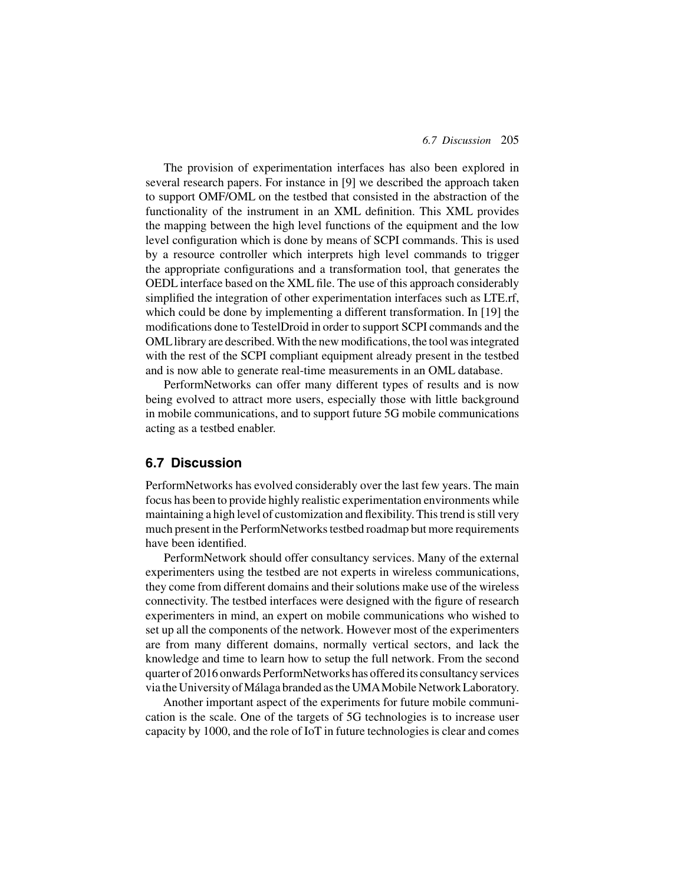The provision of experimentation interfaces has also been explored in several research papers. For instance in [9] we described the approach taken to support OMF/OML on the testbed that consisted in the abstraction of the functionality of the instrument in an XML definition. This XML provides the mapping between the high level functions of the equipment and the low level configuration which is done by means of SCPI commands. This is used by a resource controller which interprets high level commands to trigger the appropriate configurations and a transformation tool, that generates the OEDL interface based on the XML file. The use of this approach considerably simplified the integration of other experimentation interfaces such as LTE.rf, which could be done by implementing a different transformation. In [19] the modifications done to TestelDroid in order to support SCPI commands and the OMLlibrary are described. With the new modifications, the tool was integrated with the rest of the SCPI compliant equipment already present in the testbed and is now able to generate real-time measurements in an OML database.

PerformNetworks can offer many different types of results and is now being evolved to attract more users, especially those with little background in mobile communications, and to support future 5G mobile communications acting as a testbed enabler.

# **6.7 Discussion**

PerformNetworks has evolved considerably over the last few years. The main focus has been to provide highly realistic experimentation environments while maintaining a high level of customization and flexibility. This trend is still very much present in the PerformNetworks testbed roadmap but more requirements have been identified.

PerformNetwork should offer consultancy services. Many of the external experimenters using the testbed are not experts in wireless communications, they come from different domains and their solutions make use of the wireless connectivity. The testbed interfaces were designed with the figure of research experimenters in mind, an expert on mobile communications who wished to set up all the components of the network. However most of the experimenters are from many different domains, normally vertical sectors, and lack the knowledge and time to learn how to setup the full network. From the second quarter of 2016 onwards PerformNetworks has offered its consultancy services via the University of Málaga branded as the UMAMobile Network Laboratory.

Another important aspect of the experiments for future mobile communication is the scale. One of the targets of 5G technologies is to increase user capacity by 1000, and the role of IoT in future technologies is clear and comes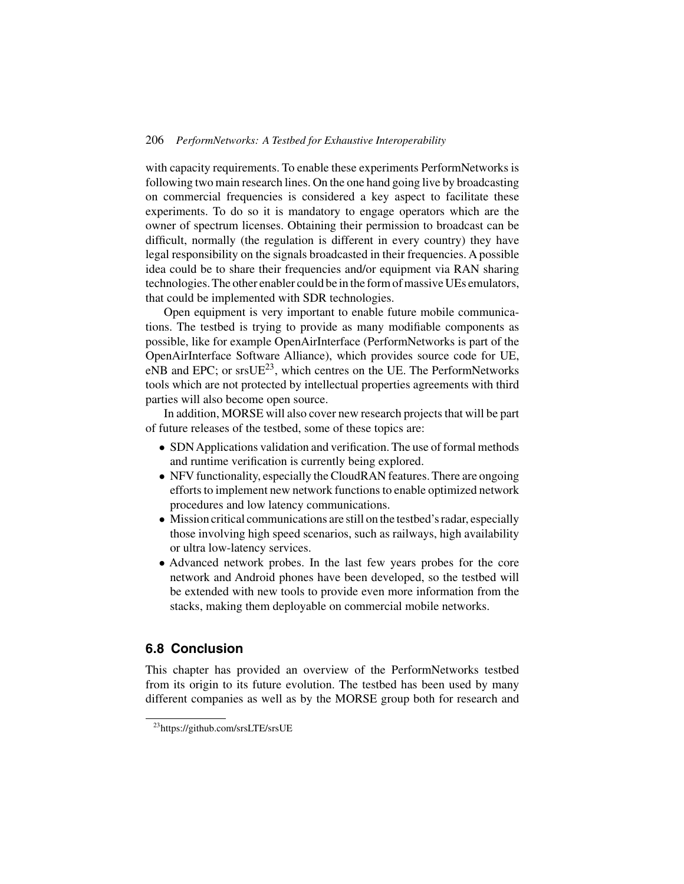with capacity requirements. To enable these experiments PerformNetworks is following two main research lines. On the one hand going live by broadcasting on commercial frequencies is considered a key aspect to facilitate these experiments. To do so it is mandatory to engage operators which are the owner of spectrum licenses. Obtaining their permission to broadcast can be difficult, normally (the regulation is different in every country) they have legal responsibility on the signals broadcasted in their frequencies. A possible idea could be to share their frequencies and/or equipment via RAN sharing technologies. The other enabler could be in the form of massive UEs emulators, that could be implemented with SDR technologies.

Open equipment is very important to enable future mobile communications. The testbed is trying to provide as many modifiable components as possible, like for example OpenAirInterface (PerformNetworks is part of the OpenAirInterface Software Alliance), which provides source code for UE, eNB and EPC; or srsUE<sup>23</sup>, which centres on the UE. The PerformNetworks tools which are not protected by intellectual properties agreements with third parties will also become open source.

In addition, MORSE will also cover new research projects that will be part of future releases of the testbed, some of these topics are:

- SDNApplications validation and verification. The use of formal methods and runtime verification is currently being explored.
- NFV functionality, especially the CloudRAN features. There are ongoing efforts to implement new network functions to enable optimized network procedures and low latency communications.
- Mission critical communications are still on the testbed's radar, especially those involving high speed scenarios, such as railways, high availability or ultra low-latency services.
- Advanced network probes. In the last few years probes for the core network and Android phones have been developed, so the testbed will be extended with new tools to provide even more information from the stacks, making them deployable on commercial mobile networks.

#### **6.8 Conclusion**

This chapter has provided an overview of the PerformNetworks testbed from its origin to its future evolution. The testbed has been used by many different companies as well as by the MORSE group both for research and

<sup>23</sup>https://github.com/srsLTE/srsUE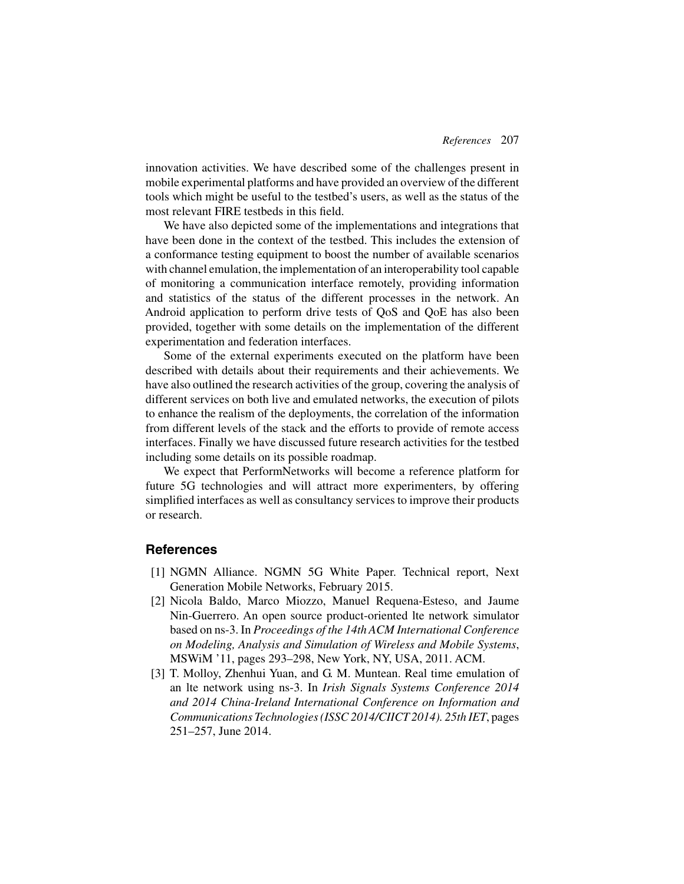innovation activities. We have described some of the challenges present in mobile experimental platforms and have provided an overview of the different tools which might be useful to the testbed's users, as well as the status of the most relevant FIRE testbeds in this field.

We have also depicted some of the implementations and integrations that have been done in the context of the testbed. This includes the extension of a conformance testing equipment to boost the number of available scenarios with channel emulation, the implementation of an interoperability tool capable of monitoring a communication interface remotely, providing information and statistics of the status of the different processes in the network. An Android application to perform drive tests of QoS and QoE has also been provided, together with some details on the implementation of the different experimentation and federation interfaces.

Some of the external experiments executed on the platform have been described with details about their requirements and their achievements. We have also outlined the research activities of the group, covering the analysis of different services on both live and emulated networks, the execution of pilots to enhance the realism of the deployments, the correlation of the information from different levels of the stack and the efforts to provide of remote access interfaces. Finally we have discussed future research activities for the testbed including some details on its possible roadmap.

We expect that PerformNetworks will become a reference platform for future 5G technologies and will attract more experimenters, by offering simplified interfaces as well as consultancy services to improve their products or research.

# **References**

- [1] NGMN Alliance. NGMN 5G White Paper. Technical report, Next Generation Mobile Networks, February 2015.
- [2] Nicola Baldo, Marco Miozzo, Manuel Requena-Esteso, and Jaume Nin-Guerrero. An open source product-oriented lte network simulator based on ns-3. In *Proceedings of the 14th ACM International Conference on Modeling, Analysis and Simulation of Wireless and Mobile Systems*, MSWiM '11, pages 293–298, New York, NY, USA, 2011. ACM.
- [3] T. Molloy, Zhenhui Yuan, and G. M. Muntean. Real time emulation of an lte network using ns-3. In *Irish Signals Systems Conference 2014 and 2014 China-Ireland International Conference on Information and Communications Technologies (ISSC 2014/CIICT 2014). 25th IET*, pages 251–257, June 2014.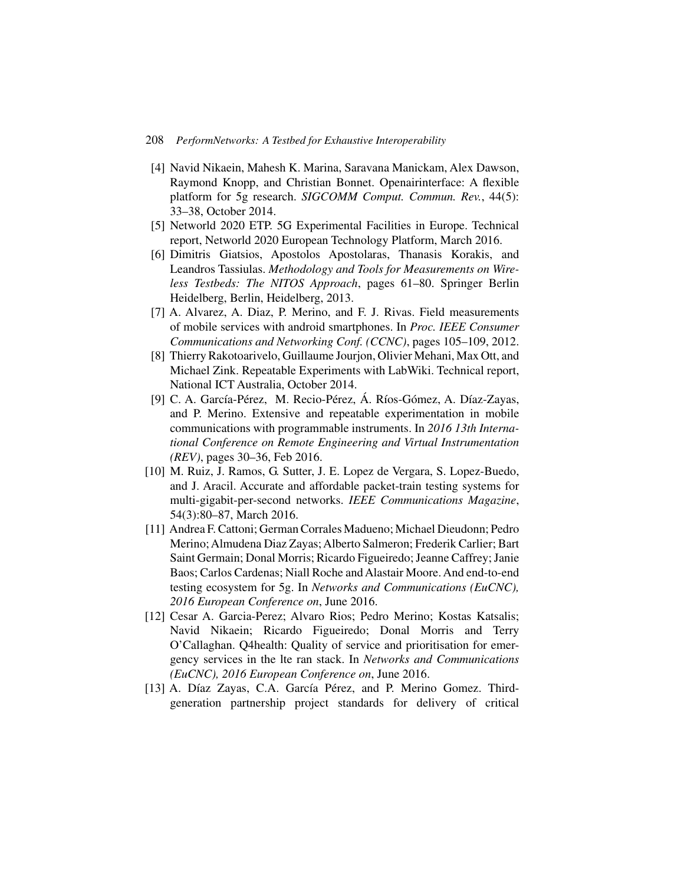- [4] Navid Nikaein, Mahesh K. Marina, Saravana Manickam, Alex Dawson, Raymond Knopp, and Christian Bonnet. Openairinterface: A flexible platform for 5g research. *SIGCOMM Comput. Commun. Rev.*, 44(5): 33–38, October 2014.
- [5] Networld 2020 ETP. 5G Experimental Facilities in Europe. Technical report, Networld 2020 European Technology Platform, March 2016.
- [6] Dimitris Giatsios, Apostolos Apostolaras, Thanasis Korakis, and Leandros Tassiulas. *Methodology and Tools for Measurements on Wireless Testbeds: The NITOS Approach*, pages 61–80. Springer Berlin Heidelberg, Berlin, Heidelberg, 2013.
- [7] A. Alvarez, A. Diaz, P. Merino, and F. J. Rivas. Field measurements of mobile services with android smartphones. In *Proc. IEEE Consumer Communications and Networking Conf. (CCNC)*, pages 105–109, 2012.
- [8] Thierry Rakotoarivelo, Guillaume Jourjon, Olivier Mehani, Max Ott, and Michael Zink. Repeatable Experiments with LabWiki. Technical report, National ICT Australia, October 2014.
- [9] C. A. García-Pérez, M. Recio-Pérez, Á. Ríos-Gómez, A. Díaz-Zayas, and P. Merino. Extensive and repeatable experimentation in mobile communications with programmable instruments. In *2016 13th International Conference on Remote Engineering and Virtual Instrumentation (REV)*, pages 30–36, Feb 2016.
- [10] M. Ruiz, J. Ramos, G. Sutter, J. E. Lopez de Vergara, S. Lopez-Buedo, and J. Aracil. Accurate and affordable packet-train testing systems for multi-gigabit-per-second networks. *IEEE Communications Magazine*, 54(3):80–87, March 2016.
- [11] Andrea F. Cattoni; German Corrales Madueno; Michael Dieudonn; Pedro Merino; Almudena Diaz Zayas; Alberto Salmeron; Frederik Carlier; Bart Saint Germain; Donal Morris; Ricardo Figueiredo; Jeanne Caffrey; Janie Baos; Carlos Cardenas; Niall Roche and Alastair Moore. And end-to-end testing ecosystem for 5g. In *Networks and Communications (EuCNC), 2016 European Conference on*, June 2016.
- [12] Cesar A. Garcia-Perez; Alvaro Rios; Pedro Merino; Kostas Katsalis; Navid Nikaein; Ricardo Figueiredo; Donal Morris and Terry O'Callaghan. Q4health: Quality of service and prioritisation for emergency services in the lte ran stack. In *Networks and Communications (EuCNC), 2016 European Conference on*, June 2016.
- [13] A. Díaz Zayas, C.A. García Pérez, and P. Merino Gomez. Thirdgeneration partnership project standards for delivery of critical